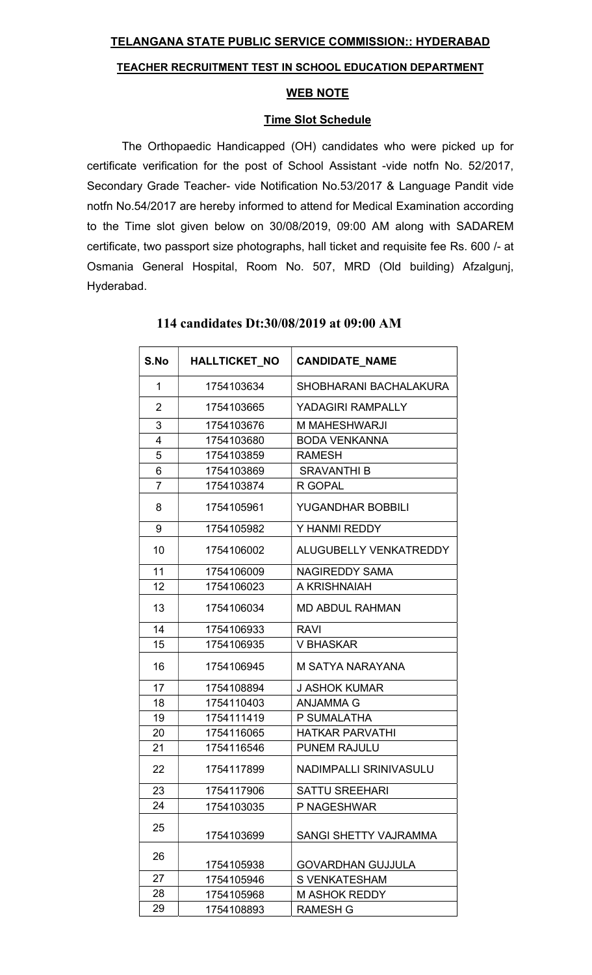## TELANGANA STATE PUBLIC SERVICE COMMISSION:: HYDERABAD

#### TEACHER RECRUITMENT TEST IN SCHOOL EDUCATION DEPARTMENT

### WEB NOTE

### Time Slot Schedule

The Orthopaedic Handicapped (OH) candidates who were picked up for certificate verification for the post of School Assistant -vide notfn No. 52/2017, Secondary Grade Teacher- vide Notification No.53/2017 & Language Pandit vide notfn No.54/2017 are hereby informed to attend for Medical Examination according to the Time slot given below on 30/08/2019, 09:00 AM along with SADAREM certificate, two passport size photographs, hall ticket and requisite fee Rs. 600 /- at Osmania General Hospital, Room No. 507, MRD (Old building) Afzalgunj, Hyderabad.

| S.No           | <b>HALLTICKET NO</b> | <b>CANDIDATE NAME</b>    |
|----------------|----------------------|--------------------------|
| $\mathbf{1}$   | 1754103634           | SHOBHARANI BACHALAKURA   |
| $\overline{2}$ | 1754103665           | YADAGIRI RAMPALLY        |
| 3              | 1754103676           | M MAHESHWARJI            |
| 4              | 1754103680           | <b>BODA VENKANNA</b>     |
| 5              | 1754103859           | <b>RAMESH</b>            |
| 6              | 1754103869           | <b>SRAVANTHI B</b>       |
| 7              | 1754103874           | R GOPAL                  |
| 8              | 1754105961           | <b>YUGANDHAR BOBBILI</b> |
| 9              | 1754105982           | Y HANMI REDDY            |
| 10             | 1754106002           | ALUGUBELLY VENKATREDDY   |
| 11             | 1754106009           | <b>NAGIREDDY SAMA</b>    |
| 12             | 1754106023           | A KRISHNAIAH             |
| 13             | 1754106034           | <b>MD ABDUL RAHMAN</b>   |
| 14             | 1754106933           | RAVI                     |
| 15             | 1754106935           | <b>V BHASKAR</b>         |
| 16             | 1754106945           | M SATYA NARAYANA         |
| 17             | 1754108894           | <b>J ASHOK KUMAR</b>     |
| 18             | 1754110403           | <b>ANJAMMA G</b>         |
| 19             | 1754111419           | P SUMALATHA              |
| 20             | 1754116065           | <b>HATKAR PARVATHI</b>   |
| 21             | 1754116546           | <b>PUNEM RAJULU</b>      |
| 22             | 1754117899           | NADIMPALLI SRINIVASULU   |
| 23             | 1754117906           | <b>SATTU SREEHARI</b>    |
| 24             | 1754103035           | P NAGESHWAR              |
| 25             | 1754103699           | SANGI SHETTY VAJRAMMA    |
| 26             | 1754105938           | <b>GOVARDHAN GUJJULA</b> |
| 27             | 1754105946           | <b>S VENKATESHAM</b>     |
| 28             | 1754105968           | <b>M ASHOK REDDY</b>     |
| 29             | 1754108893           | <b>RAMESH G</b>          |

# 114 candidates Dt:30/08/2019 at 09:00 AM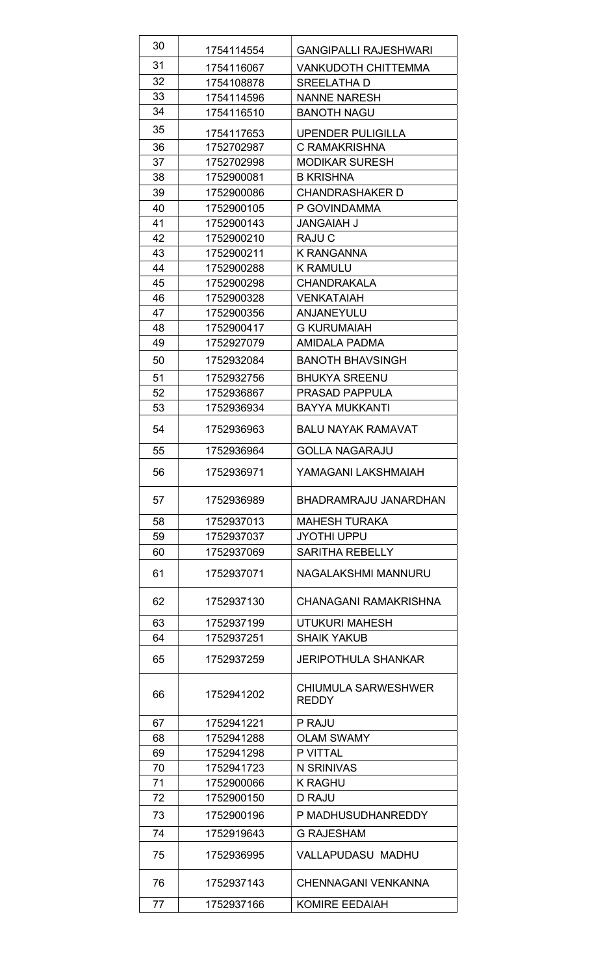| 30 | 1754114554 | <b>GANGIPALLI RAJESHWARI</b>               |
|----|------------|--------------------------------------------|
| 31 | 1754116067 | <b>VANKUDOTH CHITTEMMA</b>                 |
| 32 | 1754108878 | SREELATHA D                                |
| 33 | 1754114596 | <b>NANNE NARESH</b>                        |
| 34 | 1754116510 | <b>BANOTH NAGU</b>                         |
| 35 | 1754117653 | <b>UPENDER PULIGILLA</b>                   |
| 36 | 1752702987 | C RAMAKRISHNA                              |
| 37 | 1752702998 | <b>MODIKAR SURESH</b>                      |
| 38 | 1752900081 | <b>B KRISHNA</b>                           |
| 39 | 1752900086 | <b>CHANDRASHAKER D</b>                     |
| 40 | 1752900105 | P GOVINDAMMA                               |
| 41 | 1752900143 | <b>JANGAIAH J</b>                          |
| 42 | 1752900210 | RAJU C                                     |
| 43 | 1752900211 | <b>K RANGANNA</b>                          |
| 44 | 1752900288 | <b>K RAMULU</b>                            |
| 45 | 1752900298 | <b>CHANDRAKALA</b>                         |
| 46 | 1752900328 | <b>VENKATAIAH</b>                          |
| 47 | 1752900356 | <b>ANJANEYULU</b>                          |
| 48 | 1752900417 | <b>G KURUMAIAH</b>                         |
| 49 | 1752927079 | AMIDALA PADMA                              |
| 50 | 1752932084 | <b>BANOTH BHAVSINGH</b>                    |
| 51 | 1752932756 | <b>BHUKYA SREENU</b>                       |
| 52 | 1752936867 | <b>PRASAD PAPPULA</b>                      |
| 53 | 1752936934 | <b>BAYYA MUKKANTI</b>                      |
| 54 | 1752936963 | <b>BALU NAYAK RAMAVAT</b>                  |
| 55 | 1752936964 | <b>GOLLA NAGARAJU</b>                      |
| 56 | 1752936971 | YAMAGANI LAKSHMAIAH                        |
| 57 | 1752936989 | BHADRAMRAJU JANARDHAN                      |
| 58 | 1752937013 | <b>MAHESH TURAKA</b>                       |
| 59 | 1752937037 | <b>JYOTHI UPPU</b>                         |
| 60 | 1752937069 | <b>SARITHA REBELLY</b>                     |
| 61 | 1752937071 | NAGALAKSHMI MANNURU                        |
| 62 | 1752937130 | <b>CHANAGANI RAMAKRISHNA</b>               |
| 63 | 1752937199 | <b>UTUKURI MAHESH</b>                      |
| 64 | 1752937251 | <b>SHAIK YAKUB</b>                         |
| 65 | 1752937259 | <b>JERIPOTHULA SHANKAR</b>                 |
| 66 | 1752941202 | <b>CHIUMULA SARWESHWER</b><br><b>REDDY</b> |
| 67 | 1752941221 | P RAJU                                     |
| 68 | 1752941288 | <b>OLAM SWAMY</b>                          |
| 69 | 1752941298 | P VITTAL                                   |
| 70 | 1752941723 | N SRINIVAS                                 |
| 71 | 1752900066 | <b>K RAGHU</b>                             |
| 72 | 1752900150 | D RAJU                                     |
| 73 | 1752900196 | P MADHUSUDHANREDDY                         |
| 74 | 1752919643 | <b>G RAJESHAM</b>                          |
| 75 | 1752936995 | <b>VALLAPUDASU MADHU</b>                   |
| 76 | 1752937143 | <b>CHENNAGANI VENKANNA</b>                 |
| 77 | 1752937166 | <b>KOMIRE EEDAIAH</b>                      |